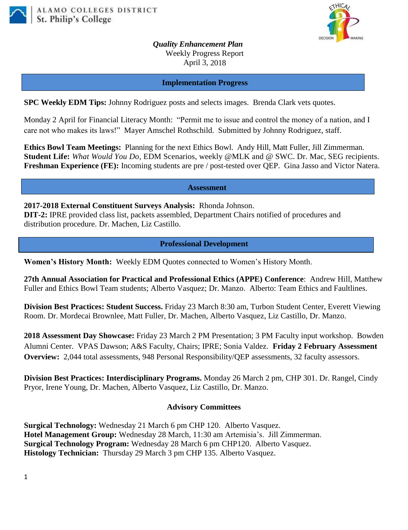



*Quality Enhancement Plan* Weekly Progress Report April 3, 2018

#### **Implementation Progress**

**SPC Weekly EDM Tips:** Johnny Rodriguez posts and selects images. Brenda Clark vets quotes.

Monday 2 April for Financial Literacy Month: "Permit me to issue and control the money of a nation, and I care not who makes its laws!" Mayer Amschel Rothschild. Submitted by Johnny Rodriguez, staff.

**Ethics Bowl Team Meetings:** Planning for the next Ethics Bowl.Andy Hill, Matt Fuller, Jill Zimmerman. **Student Life:** *What Would You Do*, EDM Scenarios, weekly @MLK and @ SWC. Dr. Mac, SEG recipients. **Freshman Experience (FE):** Incoming students are pre / post-tested over QEP. Gina Jasso and Victor Natera.

#### **Assessment**

**2017-2018 External Constituent Surveys Analysis:** Rhonda Johnson.

**DIT-2:** IPRE provided class list, packets assembled, Department Chairs notified of procedures and distribution procedure. Dr. Machen, Liz Castillo.

### **Professional Development**

**Women's History Month:** Weekly EDM Quotes connected to Women's History Month.

**27th Annual Association for Practical and Professional Ethics (APPE) Conference**: Andrew Hill, Matthew Fuller and Ethics Bowl Team students; Alberto Vasquez; Dr. Manzo. Alberto: Team Ethics and Faultlines.

**Division Best Practices: Student Success.** Friday 23 March 8:30 am, Turbon Student Center, Everett Viewing Room. Dr. Mordecai Brownlee, Matt Fuller, Dr. Machen, Alberto Vasquez, Liz Castillo, Dr. Manzo.

**2018 Assessment Day Showcase:** Friday 23 March 2 PM Presentation; 3 PM Faculty input workshop. Bowden Alumni Center. VPAS Dawson; A&S Faculty, Chairs; IPRE; Sonia Valdez. **Friday 2 February Assessment Overview:** 2,044 total assessments, 948 Personal Responsibility/QEP assessments, 32 faculty assessors.

**Division Best Practices: Interdisciplinary Programs.** Monday 26 March 2 pm, CHP 301. Dr. Rangel, Cindy Pryor, Irene Young, Dr. Machen, Alberto Vasquez, Liz Castillo, Dr. Manzo.

### **Advisory Committees**

**Surgical Technology:** Wednesday 21 March 6 pm CHP 120. Alberto Vasquez. **Hotel Management Group:** Wednesday 28 March, 11:30 am Artemisia's. Jill Zimmerman. **Surgical Technology Program:** Wednesday 28 March 6 pm CHP120. Alberto Vasquez. **Histology Technician:** Thursday 29 March 3 pm CHP 135. Alberto Vasquez.